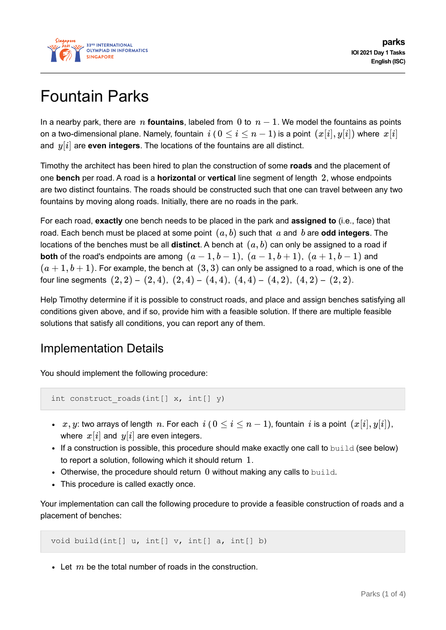

# Fountain Parks

In a nearby park, there are *n* **fountains**, labeled from 0 to  $n - 1$ . We model the fountains as points on a two-dimensional plane. Namely, fountain  $i$  (  $0 \le i \le n-1$ ) is a point  $(x[i], y[i])$  where  $x[i]$ and *y*[*i*] are **even integers**. The locations of the fountains are all distinct.

Timothy the architect has been hired to plan the construction of some **roads** and the placement of one **bench** per road. A road is a **horizontal** or **vertical** line segment of length 2, whose endpoints are two distinct fountains. The roads should be constructed such that one can travel between any two fountains by moving along roads. Initially, there are no roads in the park.

For each road, **exactly** one bench needs to be placed in the park and **assigned to** (i.e., face) that road. Each bench must be placed at some point (*a*, *b*) such that *a* and *b* are **odd integers**. The locations of the benches must be all **distinct**. A bench at (*a*, *b*) can only be assigned to a road if **both** of the road's endpoints are among  $(a-1,b-1)$ ,  $(a-1,b+1)$ ,  $(a+1,b-1)$  and  $(a+1,b+1)$ . For example, the bench at  $(3,3)$  can only be assigned to a road, which is one of the four line segments  $(2, 2) - (2, 4)$ ,  $(2, 4) - (4, 4)$ ,  $(4, 4) - (4, 2)$ ,  $(4, 2) - (2, 2)$ .

Help Timothy determine if it is possible to construct roads, and place and assign benches satisfying all conditions given above, and if so, provide him with a feasible solution. If there are multiple feasible solutions that satisfy all conditions, you can report any of them.

# Implementation Details

You should implement the following procedure:

```
int construct roads(int[] x, int[] y)
```
- *∗ x*, *y*: two arrays of length *n*. For each *i* (0 ≤ *i* ≤ *n* − 1), fountain *i* is a point  $(x[i], y[i])$ , where  $x[i]$  and  $y[i]$  are even integers.
- If a construction is possible, this procedure should make exactly one call to build (see below) to report a solution, following which it should return 1.
- $\bullet$  Otherwise, the procedure should return  $0$  without making any calls to build.
- This procedure is called exactly once.

Your implementation can call the following procedure to provide a feasible construction of roads and a placement of benches:

void build(int[] u, int[] v, int[] a, int[] b)

Let *m* be the total number of roads in the construction.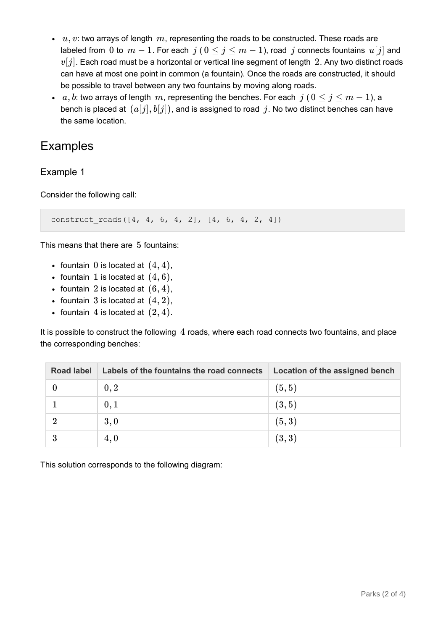- $u, v$ : two arrays of length  $m$ , representing the roads to be constructed. These roads are labeled from 0 to  $m-1$ . For each  $j$  ( $0 \le j \le m-1$ ), road  $j$  connects fountains  $u[j]$  and  $v[j]$ . Each road must be a horizontal or vertical line segment of length 2. Any two distinct roads can have at most one point in common (a fountain). Once the roads are constructed, it should be possible to travel between any two fountains by moving along roads.
- *a*, *b*: two arrays of length *m*, representing the benches. For each *j* ( $0 \le j \le m 1$ ), a bench is placed at  $(a[j], b[j])$ , and is assigned to road j. No two distinct benches can have the same location.

### Examples

Example 1

Consider the following call:

construct roads( $[4, 4, 6, 4, 2]$ ,  $[4, 6, 4, 2, 4]$ )

This means that there are 5 fountains:

- fountain 0 is located at  $(4, 4)$ ,
- fountain 1 is located at  $(4, 6)$ ,
- fountain 2 is located at  $(6, 4)$ ,
- fountain 3 is located at  $(4, 2)$ ,
- fountain 4 is located at  $(2, 4)$ .

It is possible to construct the following 4 roads, where each road connects two fountains, and place the corresponding benches:

| <b>Road label</b> | Labels of the fountains the road connects | Location of the assigned bench |
|-------------------|-------------------------------------------|--------------------------------|
|                   | 0, 2                                      | (5, 5)                         |
|                   | 0,1                                       | (3, 5)                         |
|                   | 3,0                                       | (5,3)                          |
|                   | 4,0                                       | (3,3)                          |

This solution corresponds to the following diagram: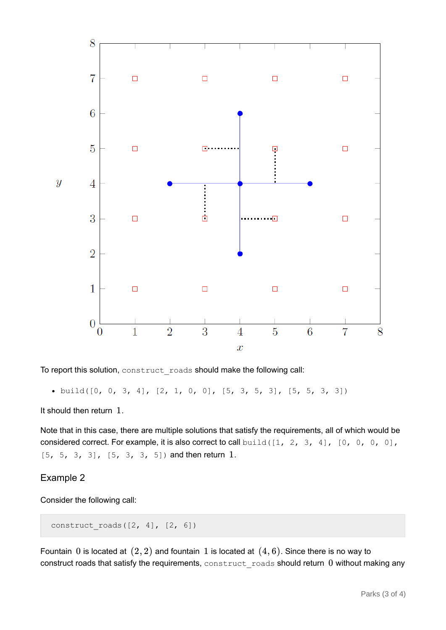

To report this solution, construct roads should make the following call:

 $\bullet$  build([0, 0, 3, 4], [2, 1, 0, 0], [5, 3, 5, 3], [5, 5, 3, 3])

It should then return 1.

Note that in this case, there are multiple solutions that satisfy the requirements, all of which would be considered correct. For example, it is also correct to call build( $[1, 2, 3, 4]$ ,  $[0, 0, 0, 0]$ , [5, 5, 3, 3], [5, 3, 3, 5]) and then return 1.

#### Example 2

Consider the following call:

```
construct roads([2, 4], [2, 6])
```
Fountain 0 is located at  $(2, 2)$  and fountain 1 is located at  $(4, 6)$ . Since there is no way to construct roads that satisfy the requirements, construct roads should return 0 without making any